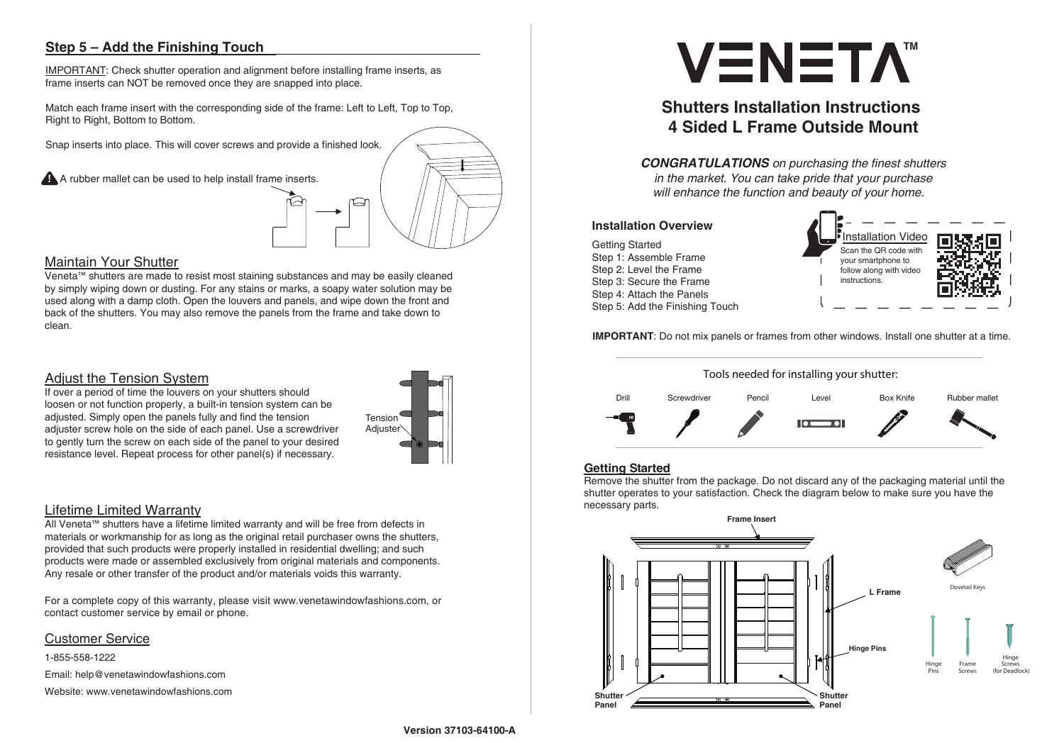#### Lifetime Limited Warranty

All Veneta™ shutters have a lifetime limited warranty and will be free from defects in materials or workmanship for as long as the original retail purchaser owns the shutters, provided that such products were properly installed in residential dwelling; and such products were made or assembled exclusively from original materials and components. Any resale or other transfer of the product and/or materials voids this warranty.

For a complete copy of this warranty, please visit www.venetawindowfashions.com, or contact customer service by email or phone.

#### Customer Service

1-855-558-1222 Email: help@venetawindowfashions.com Website: www.venetawindowfashions.com

### Adjust the Tension System

Veneta™ shutters are made to resist most staining substances and may be easily cleaned by simply wiping down or dusting. For any stains or marks, a soapy water solution may be used along with a damp cloth. Open the louvers and panels, and wipe down the front and back of the shutters. You may also remove the panels from the frame and take down to clean.

#### Maintain Your Shutter

If over a period of time the louvers on your shutters should loosen or not function properly, a built-in tension system can be adjusted. Simply open the panels fully and find the tension adjuster screw hole on the side of each panel. Use a screwdriver to gently turn the screw on each side of the panel to your desired resistance level. Repeat process for other panel(s) if necessary.



 $\boldsymbol{\Sigma}$ 

# **4 Sided L Frame Outside Mount**

*CONGRATULATIONS on purchasing the* fi*nest shutters in the market. You can take pride that your purchase will enhance the function and beauty of your home.*

#### **IMPORTANT**: Do not mix panels or frames from other windows. Install one shutter at a time.

Getting Started Step 1: Assemble Frame Step 2: Level the Frame Step 3: Secure the Frame Step 4: Attach the Panels Step 5: Add the Finishing Touch





#### **Installation Overview**



#### **Getting Started**

Remove the shutter from the package. Do not discard any of the packaging material until the shutter operates to your satisfaction. Check the diagram below to make sure you have the necessary parts.



IMPORTANT: Check shutter operation and alignment before installing frame inserts, as frame inserts can NOT be removed once they are snapped into place.

Match each frame insert with the corresponding side of the frame: Left to Left, Top to Top, Right to Right, Bottom to Bottom.

Snap inserts into place. This will cover screws and provide a finished look.

A A rubber mallet can be used to help install frame inserts.

# **Step 5 – Add the Finishing Touch**